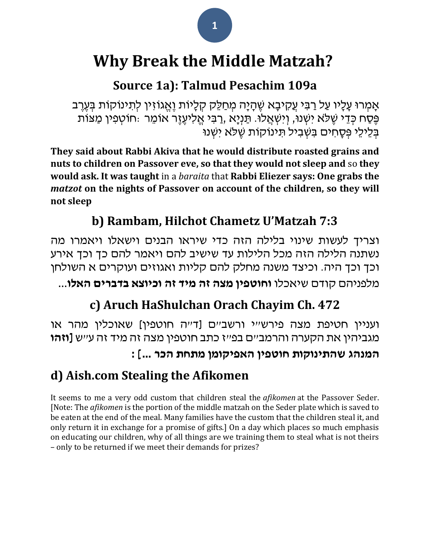# **Why Break the Middle Matzah?**

## **Source 1a): Talmud Pesachim 109a**

אָמְרוּ עָלָיו עַל רַבִּי עֲקִיבָא שֶׁהָיָה מְחַלֵּק קְלָיוֹת וֶאֱגוֹזִין לְתִינוֹקוֹת בְּעֶרֶב ּפֶּׁסַח כְּדֵי שֶׁלֹּא יִשְׁנוּ, וְיִשְׁאֲלוּ. תַּנְיָא ,רַבִּי אֱלִיעֶזֶר אוֹמֵר :חוֹטְפִין מַצּוֹת בְלֵיכֵי פְּסָחִים בִּשְׁבִיל תִּינוֹקוֹת שֵׁלֹּא יִשְׁנוּ

**They said about [Rabbi Akiva](/topics/rabbi-akiva) that he would distribute roasted grains and nuts to children on Passover eve, so that they would not sleep and** so **they would ask. It was taught** in a *baraita* that **[Rabbi Eliezer](/topics/rabbi-eliezer-b-hyrcanus) says: One grabs the**  *matzot* **on the nights of Passover on account of the children, so they will not sleep**

## **b) Rambam, Hilchot Chametz U'Matzah 7:3**

וצריך לעשות שינוי בלילה הזה כדי שיראו הבנים וישאלו ויאמרו מה נשתנה הלילה הזה מכל הלילות עד שישיב להם ויאמר להם כך וכך אירע וכך וכך היה. וכיצד משנה מחלק להם קליות ואגוזים ועוקרים א השולחן

מלפניהם קודם שיאכלו **וחוטפין מצה זה מיד זה וכיוצא בדברים האלו**...

## **c) Aruch HaShulchan Orach Chayim Ch. 472**

ועניין חטיפת מצה פירש"י ורשב"ם [ד"ה חוטפין] שאוכלין מהר או מגביהין את הקערה והרמב"ם בפ"ז כתב חוטפין מצה זה מיד זה ע"ש **]וזהו** 

### **המנהג שהתינוקות חוטפין האפיקומן מתחת הכר ...[ :**

### **d) Aish.com Stealing the Afikomen**

It seems to me a very odd custom that children steal the *afikomen* at the Passover Seder. [Note: The *afikomen* is the portion of the middle matzah on the Seder plate which is saved to be eaten at the end of the meal. Many families have the custom that the children steal it, and only return it in exchange for a promise of gifts.] On a day which places so much emphasis on educating our children, why of all things are we training them to steal what is not theirs – only to be returned if we meet their demands for prizes?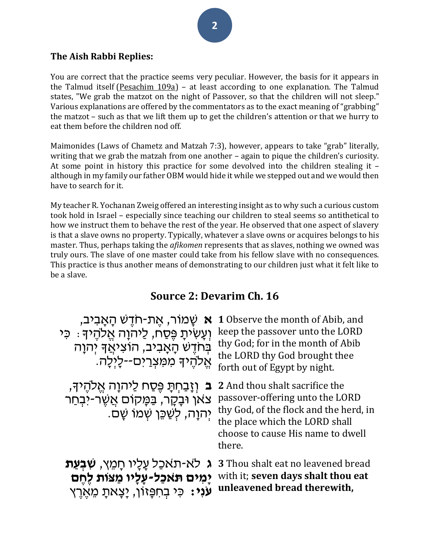#### **The Aish Rabbi Replies:**

You are correct that the practice seems very peculiar. However, the basis for it appears in the Talmud itself [\(Pesachim 109a\)](https://www.sefaria.org/Pesachim.109a?lang=he-en&utm_source=aish.com&utm_medium=sefaria_linker) – at least according to one explanation. The Talmud states, "We grab the matzot on the night of Passover, so that the children will not sleep." Various explanations are offered by the commentators as to the exact meaning of "grabbing" the matzot – such as that we lift them up to get the children's attention or that we hurry to eat them before the children nod off.

Maimonides (Laws of Chametz and Matzah 7:3), however, appears to take "grab" literally, writing that we grab the matzah from one another – again to pique the children's curiosity. At some point in history this practice for some devolved into the children stealing it – although in my family our father OBM would hide it while we stepped out and we would then have to search for it.

My teacher R. Yochanan Zweig offered an interesting insight as to why such a curious custom took hold in Israel – especially since teaching our children to steal seems so antithetical to how we instruct them to behave the rest of the year. He observed that one aspect of slavery is that a slave owns no property. Typically, whatever a slave owns or acquires belongs to his master. Thus, perhaps taking the *afikomen* represents that as slaves, nothing we owned was truly ours. The slave of one master could take from his fellow slave with no consequences. This practice is thus another means of demonstrating to our children just what it felt like to be a slave.

#### **Source 2: Devarim Ch. 16**

| <b>א</b> שָׁמוֹר, אֵת-חֹדֵשׁ הָאָבִיב,<br>וְעֲשִׂיתָ פֵּסַח, לַיהוָה אֱלֹהֵיךָ ִּ כִּי<br>בְּחֹדֶשׁ הָאָבִיב, הוֹצִיאֲדָ יְהוָה<br>אֵלהֵיךָ מִמַּצְרַים--לָיִלָה. | 1 Observe the month of Abib, and<br>keep the passover unto the LORD<br>thy God; for in the month of Abib<br>the LORD thy God brought thee<br>forth out of Egypt by night.                    |
|-------------------------------------------------------------------------------------------------------------------------------------------------------------------|----------------------------------------------------------------------------------------------------------------------------------------------------------------------------------------------|
| וְזָבַחִתָּ פֵּסַח לַיהוָה אֵלֹהֵיךָ,<br>$\mathbf{a}$<br>צאן וּבָקָר, בַּמָּקוֹם אֲשֶׂר-יֹבְחַר<br>יִהוַה, לְשַׁכֵּן שְׁמוֹ שָׁם.                                 | 2 And thou shalt sacrifice the<br>passover-offering unto the LORD<br>thy God, of the flock and the herd, in<br>the place which the LORD shall<br>choose to cause His name to dwell<br>there. |
| לא-תאכל עַלָיו חַמֵץ, <b>שִׁבְעַת</b><br>$\lambda$<br>יַמים תאכל-עַלָיו מַצות לֶחֶם<br><b>עני:</b> כִּי בְּחִפְּזוֹן, יַצַאתַ מֵאֵרֵץ                             | <b>3</b> Thou shalt eat no leavened bread<br>with it; seven days shalt thou eat<br>unleavened bread therewith,                                                                               |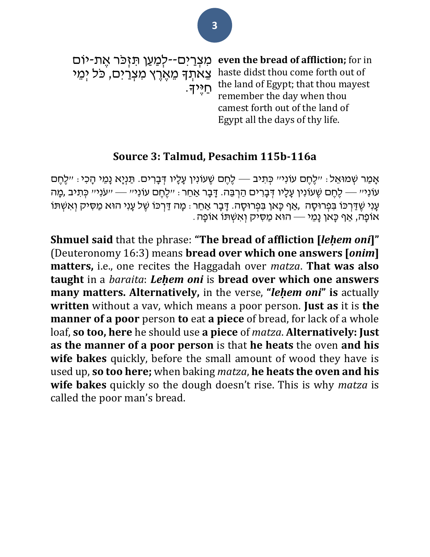מִצְרַיִּם--לְמַעַן תִּזְכּר אֶת-יוֹם **even the bread of affliction;** for in צְאתְךָ מֵאֶרֶץ מִצְרַים, כֹּל יְמֵי haste didst thou come forth out of חַ יֶׁיָך. the land of Egypt; that thou mayest remember the day when thou camest forth out of the land of Egypt all the days of thy life.

#### **Source 3: Talmud, Pesachim 115b-116a**

אָמַר שִׁמוּאֵל: ״לֵחֶם עוֹנִי״ כְּתִיב — לֶחֶם שֵׁעוֹנִין עָלָיו דְּבָרִים. תַּנִיָא נָמֵי הָכִי: ״לֵחֵם עֹוֹנְי״ — לֶחֵם שֶׁעוֹנִין עָלָיו דְּבָרִים הַרְבֵּה. דָּבָר אַחֵר: ״לֶחֶם עוֹנִי״ — ״עֹנִי״ כִּתִיב ,מֶה ּעָנִי שֵׁדַּרְכּוֹ בִּפְרוּסָה ,אַף כָּאן בִּפְרוּסָה. דָּבָר אַחֵר : מַה דַּרְכּוֹ שֵׁל עַנִי הוּא מַסִּיק וְאִשְׁתּוֹ . אוֹפָה, אַף כַּאֹן נַמֵּי — הוּא מַסִּיק וְאִשְׁתּוֹ אוֹפַה

**Shmuel said** that the phrase: **"The bread of affliction [***leḥem oni***]"** (Deuteronomy 16:3) means **bread over which one answers [***onim***] matters,** i.e., one recites the Haggadah over *matza*. **That was also taught** in a *baraita*: *Leḥem oni* is **bread over which one answers many matters. Alternatively,** in the verse, **"***leḥem oni***" is** actually **written** without a vav, which means a poor person. **Just as** it is **the manner of a poor** person **to** eat **a piece** of bread, for lack of a whole loaf, **so too, here** he should use **a piece** of *matza*. **Alternatively: Just as the manner of a poor person** is that **he heats** the oven **and his wife bakes** quickly, before the small amount of wood they have is used up, **so too here;** when baking *matza*, **he heats the oven and his wife bakes** quickly so the dough doesn't rise. This is why *matza* is called the poor man's bread.

**3**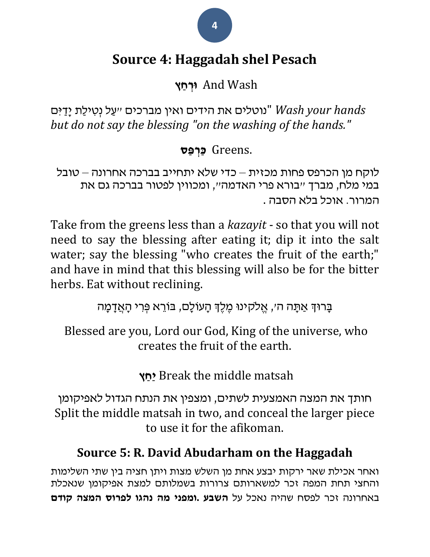## **Source 4: Haggadah shel Pesach**

Wash And **ּורְ חַ ץ**

 *hands your Wash*" נוטלים את הידים ואין מברכים "עַ ל נְטִּ ילַת יָדַ ִּים *but do not say the blessing "on the washing of the hands."*

### .Greens **כַרְ פַס**

לוקח מן הכרפס פחות מכזית – כדי שלא יתחייב בברכה אחרונה – טובל במי מלח, מברך "בורא פרי האדמה", ומכווין לפטור בברכה גם את המרור. אוכל בלא הסבה .

Take from the greens less than a *kazayit* - so that you will not need to say the blessing after eating it; dip it into the salt water; say the blessing "who creates the fruit of the earth;" and have in mind that this blessing will also be for the bitter herbs. Eat without reclining.

ַבְּרוּדְּ אֲתֵּה ה׳, אֱלֹקִינוּ מֶלֶדְּ הַעוֹלָם, בּוֹרֵא פְּרִי הָאֲדָמַה

Blessed are you, Lord our God, King of the universe, who creates the fruit of the earth.

**ץ ַחַי** Break the middle matsah

חותך את המצה האמצעית לשתים, ומצפין את הנתח הגדול לאפיקומן Split the middle matsah in two, and conceal the larger piece to use it for the afikoman.

## **Source 5: R. David Abudarham on the Haggadah**

ואחר אכילת שאר ירקות יבצע אחת מן השלש מצות ויתן חציה בין שתי השלימות והחצי תחת המפה זכר למשארותם צרורות בשמלותם למצת אפיקומן שנאכלת באחרונה זכר לפסח שהיה נאכל על **השבע .ומפני מה נהגו לפרוס המצה קודם** 

**4**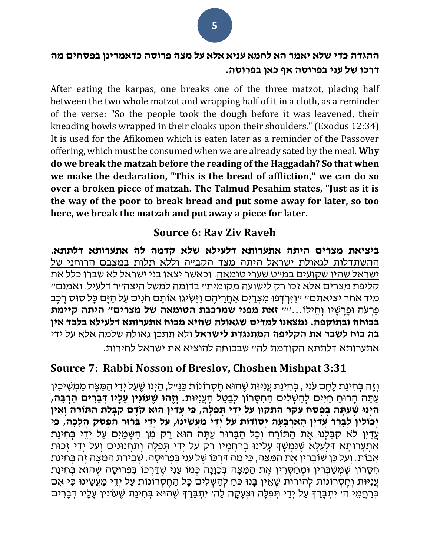#### **ההגדה כדי שלא יאמר הא לחמא עניא אלא על מצה פרוסה כדאמרינן בפסחים מה דרכו של עני בפרוסה אף כאן בפרוסה.**

After eating the karpas, one breaks one of the three matzot, placing half between the two whole matzot and wrapping half of it in a cloth, as a reminder of the verse: "So the people took the dough before it was leavened, their kneading bowls wrapped in their cloaks upon their shoulders." (Exodus 12:34) It is used for the Afikomen which is eaten later as a reminder of the Passover offering, which must be consumed when we are already sated by the meal. **Why do we break the matzah before the reading of the Haggadah? So that when we make the declaration, "This is the bread of affliction," we can do so over a broken piece of matzah. The Talmud Pesahim states, "Just as it is the way of the poor to break bread and put some away for later, so too here, we break the matzah and put away a piece for later.**

#### **Source 6: Rav Ziv Raveh**

**ביציאת מצרים היתה אתערותא דלעילא שלא קדמה לה אתערותא דלתתא.** ההשתדלות לגאולת ישראל היתה מצד הקב"ה וללא תלות במצבם הרוחני של ישראל שהיו שקועים במ"ט שערי טומאה. וכאשר יצאו בני ישראל לא שברו כלל את קליפת מצרים אלא זכו רק לישועה מקומית" בדומה למשל היצה"ר דלעיל. ואמנם" מיד אחר יציאתם" "וַיִּיְרְדְפוּ מִצְרַיִם אַחֲרֵיהֶם וַיַּשִׂיגוּ אוֹתָם חֹנִים עַל הַיָּם כָּל סוּס רֵכֶּב פַרְ עֹּה ּופָרָ שָ יו וְ חֵּ ילֹו..."" **זאת מפני שמרכבת הטומאה של מצרים" היתה קיימת בכוחה ובתוקפה. נמצאנו למדים שגאולה שהיא מכוח אתערותא דלעילא בלבד אין בה כוח לשבר את הקליפה המתנגדת לישראל** ולא תתכן גאולה שלמה אלא על ידי אתערותא דלתתא הקודמת לה" שבכוחה להוציא את ישראל לחירות.

#### **Source 7: Rabbi Nosson of Breslov, Choshen Mishpat 3:31**

וְזֶה בְּחִינַת לֶחֶם עֹנִי , בְּחִינַת עֲנִיּוּת שֶׁהוּא חֵסְרוֹנוֹת כַּנַּיִיל, הַיְנוּ שֶׁעֲל יְדֵי הַמֵּצֵה מַמְשִׁיכִין עַתַּה הַרוּחַ חַיִּים לִהַשְׁלִים הַחִסַּרוֹן לִבַטֵּל הַעֲנִיּוּת**. וְזֶהוּ שֶׁעוֹנְין עַלָּיו דְּבַרִים הַרְבֵּה**, הַיְּנוּ שֶׁעֲתָּה בִּפֵסַח עִקַּר הַתִּקוּן עַל יִדֵי תִּפְלָה, כִּי עֲדַיִן הוּא קֹדֶם קַבָּלַת הַתּוֹרָה וְאֵין יְכוֹלִין לְבָרֵר עֲדַיִן הָאַרְבָּעָה יִסוֹדוֹת עַל יִדֵּי מַעֲשֵׂינוּ, עַל יְדֵי בְּרוּר הַפְּסַק הֲלָכָה*,* כִּי עֲדַיִן לֹא קִבַּלְנוּ אֶת הַתּוֹרָה וִכָל הַבֵּרוּר עַתָּה הוּא רַק מִן הַשָּׁמַיִם עַל יְדֵי בְּחִינַת אִתִּעָרוּתָא דִּלְעֵלָּא שֵׁנִּמְשָׁךָּ עָלֵינוּ בְּרַחֲמָיו רַק עַל יְדֵי תִּפְלָּה וְתַחֲנוּנִים וְעַל יְדֵי זְכוּת אָבוֹת. וְעַל כֵּן שֹוֹבְרִין אֵת הַמַּצָּה, כִּי מַה דַּרְכּוֹ שֵׁל עָנִי בִּפְרוּסָה. שִׁבְירַת הַמַּצָּה זֶה בְּחִינַת ּחִסְּרוֹן שֶׁמְּשַׁבְּרִין וּמְחַסְרִין אֶת הַמַּצָּה בְּכַוָּנָה כְּמוֹ עָנִי שֶׁדַּרְכּוֹ בִּפְרוּסֶה שֶׁהוּא בְּחִינַת ּעֲנִיּוּת וְחֵסְרוֹנוֹת לְהוֹרוֹת שֶׁאֵין בָּנוּ כֹּחַ לְהַשְׁלִים כָּל הַחֵסְרוֹנוֹת עַל יְדֵי מַעֲשֵׂינוּ כִּי אִם בְּרַחֲמֵי ה׳ יִתְבָּרַךְ עַל יְדֵי תְּפִלָּה וּצְעָקָה לַה׳ יִתְבָּרַךְ שֶׁהוּא בְּחִינַת שֶׁעוֹנִין עָלָיו דְּבָרִים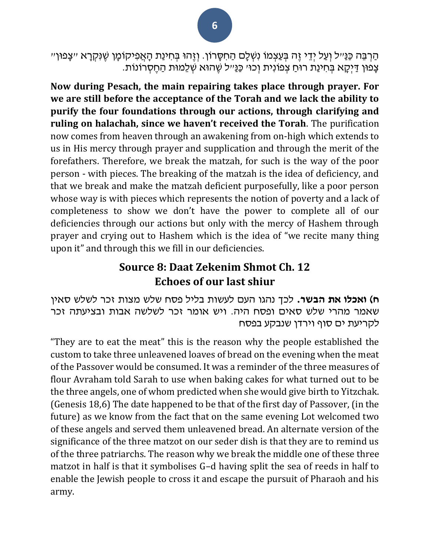הַרְבֵּה כַּנַּ״ל וְעַל יְדֵי זֶה בְּעַצְמוֹ נִשְׁלָם הַחִסָּרוֹן. וְזֶהוּ בְּחִינַת הָאֲפִיקוֹמָן שֶׁנִּקְרָא ״צָפוּן״ ּ צָפֿוּן דַיִּקָא בְּחִינַת רוּחַ צְפוֹנִית וְכוּ׳ כַּנַּ״ל שֶׁהוּא שְׁלֵמוּת הַחֶסְרוֹנוֹת.

**Now during Pesach, the main repairing takes place through prayer. For we are still before the acceptance of the Torah and we lack the ability to purify the four foundations through our actions, through clarifying and ruling on halachah, since we haven't received the Torah**. The purification now comes from heaven through an awakening from on-high which extends to us in His mercy through prayer and supplication and through the merit of the forefathers. Therefore, we break the matzah, for such is the way of the poor person - with pieces. The breaking of the matzah is the idea of deficiency, and that we break and make the matzah deficient purposefully, like a poor person whose way is with pieces which represents the notion of poverty and a lack of completeness to show we don't have the power to complete all of our deficiencies through our actions but only with the mercy of Hashem through prayer and crying out to Hashem which is the idea of "we recite many thing upon it" and through this we fill in our deficiencies.

### **Source 8: Daat Zekenim Shmot Ch. 12 Echoes of our last shiur**

**ח( ואכלו את הבשר.** לכך נהגו העם לעשות בליל פסח שלש מצות זכר לשלש סאין שאמר מהרי שלש סאים ופסח היה. ויש אומר זכר לשלשה אבות ובציעתה זכר לקריעת ים סוף וירדן שנבקע בפסח

"They are to eat the meat" this is the reason why the people established the custom to take three unleavened loaves of bread on the evening when the meat of the Passover would be consumed. It was a reminder of the three measures of flour Avraham told Sarah to use when baking cakes for what turned out to be the three angels, one of whom predicted when she would give birth to Yitzchak. (Genesis 18,6) The date happened to be that of the first day of Passover, (in the future) as we know from the fact that on the same evening Lot welcomed two of these angels and served them unleavened bread. An alternate version of the significance of the three matzot on our seder dish is that they are to remind us of the three patriarchs. The reason why we break the middle one of these three matzot in half is that it symbolises G–d having split the sea of reeds in half to enable the Jewish people to cross it and escape the pursuit of Pharaoh and his army.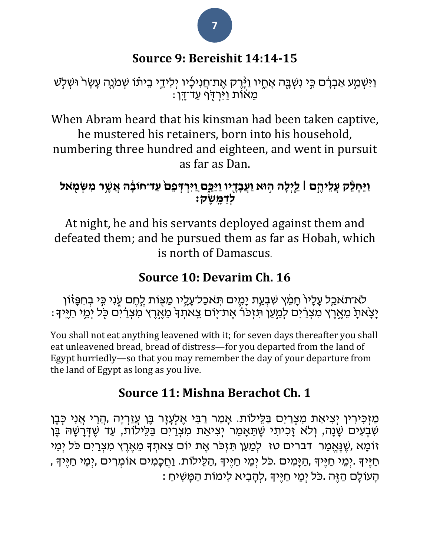### **Source 9: Bereishit 14:14-15**

ַוַּיִּשְְׁמַע אַבְרָם כִּי נִשְֽֽבָּה אָחֶיו וַיָּ֫יֶרָק אֶת־חֲנִיכָיו יְלִידֵי בֵיתֹו שְׁמֹנֶה עָשָׂר וּשְׁלִש ָּמְאֹוֹת וַיִּרְדָּף עַד־דָּן

When Abram heard that his kinsman had been taken captive, he mustered his retainers, born into his household, numbering three hundred and eighteen, and went in pursuit as far as Dan.

### **ַוֵּיָחֵֵּ֨לק ֲע ֵּליֶֶ֧הם ׀ ַַ֛ל ְיָלה ֥הּוא ַוֲע ָבָָ֖דיו ַוַיֵֵּּ֑כם ַו ִׁיְר ְדפֵּם֙ עַ ד־חֹובָָ֔ ה אֲ שֶ ֥ ר מִׁ שְ מ ָֹּ֖ אל לְדַ מָ שֶ ק׃**

At night, he and his servants deployed against them and defeated them; and he pursued them as far as Hobah, which is north of Damascus.

### **Source 10: Devarim Ch. 16**

לֹא־תאכַל עָלָיוֹ חָמֵ֫ץ שִׁבְעַת יָמֶים תִּאכַל־עָלִיו מַצָּוֹת לֶחֶם עֶנִי כִּי בְחִפָּזוֹן יָּצְאתָ מֵאֶרֶץ מִצְרַ֫יִם לְמַעַן תִּזְכֹּךְ אֶת־יָוֹם צֵאתְךָ מֵאֶרֶץ מִצְרַיִם כָּל יְמֵי חַיֶּיךָ :

You shall not eat anything leavened with it; for seven days thereafter you shall eat unleavened bread, bread of distress—for you departed from the land of Egypt hurriedly—so that you may remember the day of your departure from the land of Egypt as long as you live.

### **Source 11: Mishna Berachot Ch. 1**

מַ זְכִּירִין יְצִיאַת מִצְרַיִם בַּלֵּילוֹת. אָמַר רַבִּי אֶלְעָזָר בֶּן עֲזַרְיָה ,הֲרֵי אֲנִי כְּבֶן ּ שִׁבְעִים שָׂנָה, וְלֹא זָכִיתִי שֶׁתֵּאָמֵר יְצִיאַת מִצְרַיִם בַּלֵּילוֹת, עַד שֶׁדְּרָשָׁהּ בֶּן ֿוֹמָא ,שֶׁנֶּאֱמַר [דברים טז](/Deuteronomy.16) לְמַעַן תִּזְכֹּר אֶת יוֹם צֵאתְדָּ מֵאֶרֶץ מִצְרַיִם כֹּל יִמֵי חַ יֶּמֵי חַיֶּּיִךְ ,הַיָּמִים .כֹּל יְמֵי חַיֶּיךָ ,הַלֵּילוֹת. וַחֲכָמִים אוֹמְרִים ,יְמֵי חַיֶּיךָ , . הָעוֹלָם הַזֶּה .כֹּל יִמֵי חַיֵּיךָ ,לְהָבִיא לִימוֹת הַמָּשִׁיחַ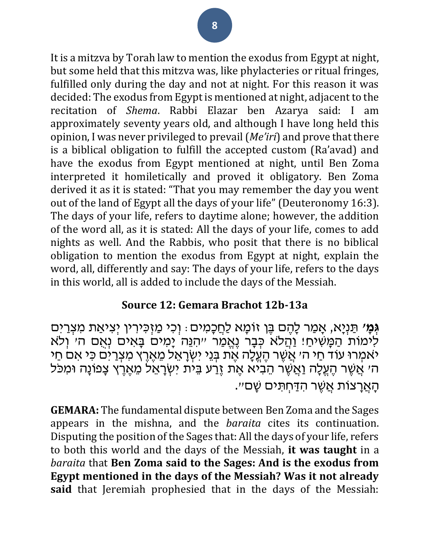It is a mitzva by Torah law to mention the exodus from Egypt at night, but some held that this mitzva was, like phylacteries or ritual fringes, fulfilled only during the day and not at night. For this reason it was decided: The exodus from Egypt is mentioned at night, adjacent to the recitation of *Shema*. [Rabbi Elazar ben Azarya](/topics/rabbi-elazar-b-azaryah) said: I am approximately seventy years old, and although I have long held this opinion, I was never privileged to prevail (*Me'iri*) and prove that there is a biblical obligation to fulfill the accepted custom (Ra'avad) and have the exodus from Egypt mentioned at night, until [Ben Zoma](/topics/shimon-b-zoma) interpreted it homiletically and proved it obligatory. [Ben Zoma](/topics/shimon-b-zoma) derived it as it is stated: "That you may remember the day you went out of the land of Egypt all the days of your life" [\(Deuteronomy 16:3\)](/Deuteronomy.16.3). The days of your life, refers to daytime alone; however, the addition of the word all, as it is stated: All the days of your life, comes to add nights as well. And the Rabbis, who posit that there is no biblical obligation to mention the exodus from Egypt at night, explain the word, all, differently and say: The days of your life, refers to the days in this world, all is added to include the days of the Messiah.

#### **Source 12: Gemara Brachot 12b-13a**

**גְּמָ׳** תַּנְיָא, אָמַר לָהֶם בֶּן זוֹמָא לַחֲכָמִים: וְכִי מַזְכִּירִין יְצִיאַת מִצְרַיִּם לִימוֹת הַמָּשִׁיחַ! וַהֲלֹא כְּבָר נֶאֱמַר ״הִּנֵּה יָמִים בָּאִים נְאָם ה׳ וְלֹא יאמְרוּ עוֹד חַי ה׳ אֲשֶׁר הֶעֱלָה אֶת בְּנֵי יִשְׂרָאֵל מֵאֶרֶץ מִצְרַים כִּי אם חַי ה׳ אֲשֶׁר הֶעֱלָה וַאֲשֶׁר הֵבִיֹּא אֶת זֶרַע בֵּית יִשְׂרָאֵל מֵאֶרֶץ צָפוֹנָה וּמִכּל הָאֲרַצוֹת אֲשֶׁר הְדַּחְתִּים שַׁם״.

**GEMARA:** The fundamental dispute between Ben Zoma and the Sages appears in the mishna, and the *baraita* cites its continuation. Disputing the position of the Sages that: All the days of your life, refers to both this world and the days of the Messiah, **it was taught** in a *baraita* that **Ben Zoma said to the Sages: And is the exodus from Egypt mentioned in the days of the Messiah? Was it not already said** that Jeremiah prophesied that in the days of the Messiah: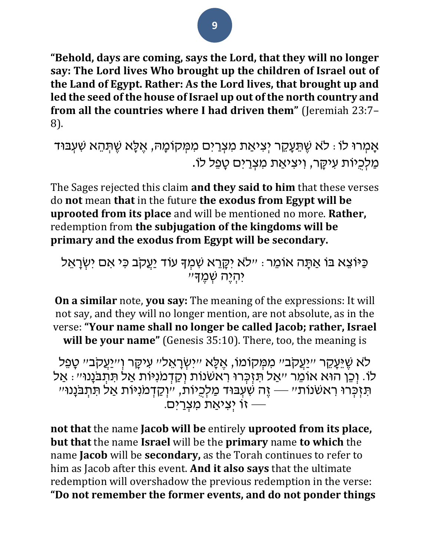#### **"Behold, days are coming, says the Lord, that they will no longer say: The Lord lives Who brought up the children of Israel out of the Land of Egypt. Rather: As the Lord lives, that brought up and led the seed of the house of Israel up out of the north country and from all the countries where I had driven them"** (Jeremiah 23:7– 8).

אָמְרוּ לֹו: לֹא שֶׁתֵּעֲקֶר יִצִיאַת מִצְרַיִּם מִמְּקוֹמָהּ, אֵלָּא שֶׁתְּהֵא שִׁעְבּוּד מַלְכִיוֹת עִיקֵר, וְיִצְיאַת מִצְרַיִּם טַפֵּל לֹו.

The Sages rejected this claim **and they said to him** that these verses do **not** mean **that** in the future **the exodus from Egypt will be uprooted from its place** and will be mentioned no more. **Rather,** redemption from **the subjugation of the kingdoms will be primary and the exodus from Egypt will be secondary.**

ֿכַּיֹּוֹצֵא בּוֹ אַתָּה אוֹמֵר: ״לֹא יִקָרֵא שִׁמְךָּ עוֹד יַעֲקָב כִּי אִם יִשְׂרָאֵל יִה שָׁמֵדּ״

**On a similar** note, **you say:** The meaning of the expressions: It will not say, and they will no longer mention, are not absolute, as in the verse: **"Your name shall no longer be called Jacob; rather, Israel will be your name"** (Genesis 35:10). There, too, the meaning is

לֹא שֶׁיֵּעָקֵר *יי*ַיַעֲקֹביי מִמְּקוֹמוֹ, אֶלֵּא *יי*ִישְׂרָאֵליי עִיקָּר וְי*י*ַעֲקָביי טַפֵּל לו. וְכֵן הוּא אוֹמֵר ״אַל תִּזְכְרוּ רֹאשׁנות וְקַדְמֹנִיּוֹת אַל תִּתְבֹנָנוּ״: אַל תִּ כְּרֹוּ רִאשׁנוֹת״ — זֶה שִׁעְבּוּד מַלְכִיוֹת, ״וְקַדְמֹנִיּוֹת אַל תִּתְבֹּנָנוּ״ ה יִצְיָאַת מִצְרַיִּם. <sup>--</sup>

**not that** the name **Jacob will be** entirely **uprooted from its place, but that** the name **Israel** will be the **primary** name **to which** the name **Jacob** will be **secondary,** as the Torah continues to refer to him as Jacob after this event. **And it also says** that the ultimate redemption will overshadow the previous redemption in the verse: **"Do not remember the former events, and do not ponder things**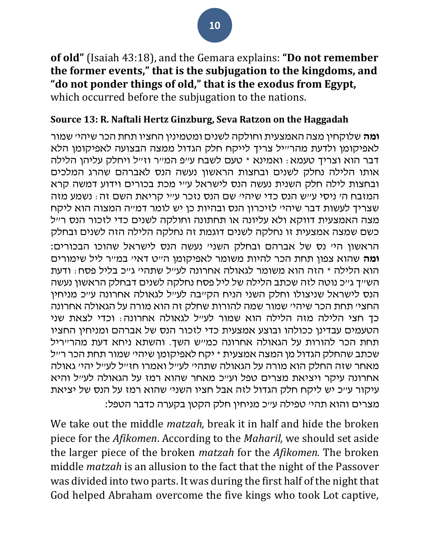**of old"** (Isaiah 43:18), and the Gemara explains: **"Do not remember the former events," that is the subjugation to the kingdoms, and "do not ponder things of old," that is the exodus from Egypt,** which occurred before the subjugation to the nations.

#### **Source 13: R. Naftali Hertz Ginzburg, Seva Ratzon on the Haggadah**

**ומה** שלוקחין מצה האמצעית וחולקה לשנים ומטמינין החציו תחת הכר שיהי' שמור לאפיקומן ולדעת מהר"יל צריך לייקח חלק הגדול ממצה הבצועה לאפיקומן הלא דבר הוא וצריך טעמא: ואמינא \* טעם לשבח ע"פ המ"ר וז"ל ויחלק עליהן הלילה אותו הלילה נחלק לשנים ובחצות הראשון נעשה הנס לאברהם שהרג המלכים ובחצות לילה חלק השנית נעשה הנס לישראל ע"י מכת בכורים וידוע דמשה קרא המזבח ה' ניסי ע"ש הנס כדי שיהי' שם הנס נזכר ע"י קריאת השם זה: נשמע מזה שצריך לעשות דבר שיהי' לזיכרון הנס ובהיות כן יש לומר דמ"ה המצוה הוא ליקח מצה האמצעית דווקא ולא עליונה או תחתונה וחולקה לשנים כדי לזכור הנס ר"ל כשם שמצה אמצעית זו נחלקה לשנים דוגמת זה נחלקה הלילה הזה לשנים ובחלק הראשון הי' נס של אברהם ובחלק השני' נעשה הנס לישראל שהוכו הבכורים: **ומה** שהוא צפון תחת הכר להיות משומר לאפיקומן ה"ט דאי' במ"ר ליל שימורים הוא הלילה \* הזה הוא משומר לגאולה אחרונה לע"ל שתהי' ג"כ בליל פסח: ודעת הש"ך ג"כ נוטה לזה שכתב הלילה של ליל פסח נחלקה לשנים דבחלק הראשון נעשה הנס לישראל שניצולו וחלק השני הניח הק"בה לע"ל לגאולה אחרונה ע"כ מניחין החצי׳ תחת הכר שיהי׳ שמור שמה להורות שחלק זה הוא מורה על הגאולה אחרונה כך חצי הלילה מזה הלילה הוא שמור לע"ל לגאולה אחרונה: וכדי לצאת שני הטעמים עבדינן ככולהו ובוצע אמצעית כדי לזכור הנס של אברהם ומניחין החציו תחת הכר להורות על הגאולה אחרונה כמ"ש השך. והשתא ניחא דעת מהר"ריל שכתב שהחלק הגדול מן המצה אמצעית \* יקח לאפיקומן שיהי' שמור תחת הכר ר"ל מאחר שזה החלק הוא מורה על הגאולה שתהי' לע"ל ואמרו חז"ל לע"ל יהי' גאולה אחרונה עיקר ויציאת מצרים טפל וע"כ מאחר שהוא רמז על הגאולה לע"ל והיא עיקור ע"כ יש ליקח חלק הגדול לזה אבל חציו השני' שהוא רמז על הנס של יציאת מצרים והוא תהי' טפילה ע"כ מניחין חלק הקטן בקערה כדבר הטפל:

We take out the middle *matzah,* break it in half and hide the broken piece for the *Afikomen*. According to the *Maharil,* we should set aside the larger piece of the broken *matzah* for the *Afikomen.* The broken middle *matzah* is an allusion to the fact that the night of the Passover was divided into two parts. It was during the first half of the night that God helped Abraham overcome the five kings who took Lot captive,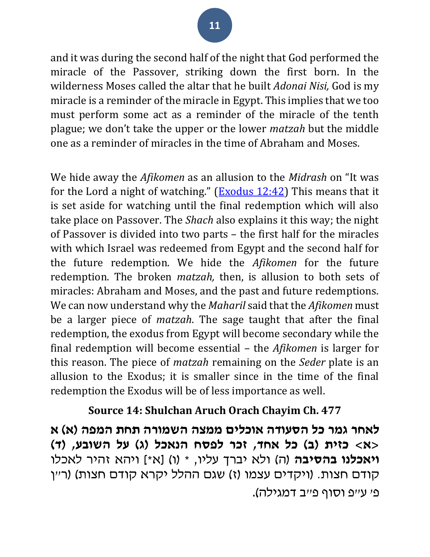and it was during the second half of the night that God performed the miracle of the Passover, striking down the first born. In the wilderness Moses called the altar that he built *Adonai Nisi,* God is my miracle is a reminder of the miracle in Egypt. This implies that we too must perform some act as a reminder of the miracle of the tenth plague; we don't take the upper or the lower *matzah* but the middle one as a reminder of miracles in the time of Abraham and Moses.

We hide away the *Afikomen* as an allusion to the *Midrash* on "It was for the Lord a night of watching." ( $\frac{Exodus 12:42}{Bxi 2:42}$ ) This means that it is set aside for watching until the final redemption which will also take place on Passover. The *Shach* also explains it this way; the night of Passover is divided into two parts – the first half for the miracles with which Israel was redeemed from Egypt and the second half for the future redemption. We hide the *Afikomen* for the future redemption. The broken *matzah,* then, is allusion to both sets of miracles: Abraham and Moses, and the past and future redemptions. We can now understand why the *Maharil* said that the *Afikomen* must be a larger piece of *matzah*. The sage taught that after the final redemption, the exodus from Egypt will become secondary while the final redemption will become essential – the *Afikomen* is larger for this reason. The piece of *matzah* remaining on the *Seder* plate is an allusion to the Exodus; it is smaller since in the time of the final redemption the Exodus will be of less importance as well.

#### **Source 14: Shulchan Aruch Orach Chayim Ch. 477**

**לאחר גמר כל הסעודה אוכלים ממצה השמורה תחת המפה )א ( א**  < **אית (ב) כל אחד, זכר לפסח הנאכל (ג) על השובע, (ד) < < a> ויאכלנו בהסיבה** (ה) ולא יברך עליו, \* (ו) [א\*] ויהא זהיר לאכלו קודם חצות. (ויקדים עצמו (ז) שגם ההלל יקרא קודם חצות) (ר״ן פ' ע״פ וסוף פ״ב דמגילה).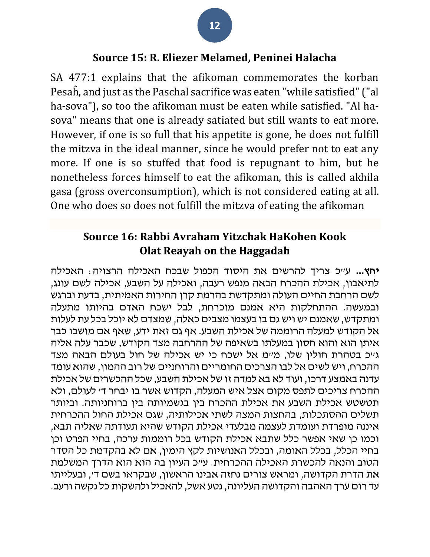#### **Source 15: R. Eliezer Melamed, Peninei Halacha**

SA 477:1 explains that the afikoman commemorates the korban Pesaĥ, and just as the Paschal sacrifice was eaten "while satisfied" ("al ha-sova"), so too the afikoman must be eaten while satisfied. "Al hasova" means that one is already satiated but still wants to eat more. However, if one is so full that his appetite is gone, he does not fulfill the mitzva in the ideal manner, since he would prefer not to eat any more. If one is so stuffed that food is repugnant to him, but he nonetheless forces himself to eat the afikoman, this is called akhila gasa (gross overconsumption), which is not considered eating at all. One who does so does not fulfill the mitzva of eating the afikoman

### **Source 16: Rabbi Avraham Yitzchak HaKohen Kook Olat Reayah on the Haggadah**

**יחץ...** ע"כ צריך להרשים את היסוד הכפול שבכח האכילה הרצויה: האכילה לתיאבון, אכילת ההכרח הבאה מנפש רעבה, ואכילה על השבע, אכילה לשם עונג, לשם הרחבת החיים העולה ומתקדשת בהרמת קרן החירות האמיתית, בדעת וברגש ובמעשה. ההתחלקות היא אמנם מוכרחת, לבל ישכח האדם בהיותו מתעלה ומתקדש, שאמנם יש ויש גם בו בעצמו מצבים כאלה, שמצדם לא יוכל בכל עת לעלות אל הקודש למעלה הרוממה של אכילת השבע. אף גם זאת ידע, שאף אם מושבו כבר איתן הוא והוא חסון במעלתו בשאיפה של ההרחבה מצד הקודש, שכבר עלה אליה גייכ בטהרת חולין שלו, מיימ אל ישכח כי יש אכילה של חול בעולם הבאה מצד ההכרח, ויש לשים אל לבו הצרכים החומריים והרוחניים של רוב ההמון, שהוא עומד עדנה באמצע דרכו, ועוד לא בא למדה זו של אכילת השבע, שכל ההכשרים של אכילת ההכרח צריכים לתפס מקום אצל איש המעלה, הקדוש אשר בו יבחר ד' לעולם, ולא תטשטש אכילת השבע את אכילת ההכרח בין בגשמיותה בין ברוחניותה. וביותר תשלים ההסתכלות, בהחצות המצה לשתי אכילותיה, שגם אכילת החול ההכרחית איננה מופרדת ועומדת לעצמה מבלעדי אכילת הקודש שהיא תעודתה שאליה תבא, וכמו כן שאי אפשר כלל שתבא אכילת הקודש בכל רוממות ערכה, בחיי הפרט וכן בחיי הכלל, בכלל האומה, ובכלל האנושיות לקץ הימין, אם לא בהקדמת כל הסדר הטוב והנאה להכשרת האכילה ההכרחית. ע"כ העיון בה הוא הוא הדרך המשלמת את הדרת הקדושה, ומראש צורים נחזה אבינו הראשון, שבקראו בשם ד', ובעלייתו עד רום ערך האהבה והקדושה העליונה, נטע אשל, להאכיל ולהשקות כל נקשה ורעב.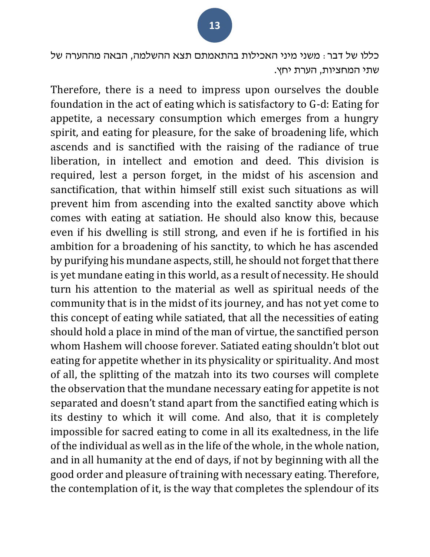כללו של דבר: משני מיני האכילות בהתאמתם תצא ההשלמה, הבאה מההערה של שתי המחציות, הערת יחץ.

Therefore, there is a need to impress upon ourselves the double foundation in the act of eating which is satisfactory to G-d: Eating for appetite, a necessary consumption which emerges from a hungry spirit, and eating for pleasure, for the sake of broadening life, which ascends and is sanctified with the raising of the radiance of true liberation, in intellect and emotion and deed. This division is required, lest a person forget, in the midst of his ascension and sanctification, that within himself still exist such situations as will prevent him from ascending into the exalted sanctity above which comes with eating at satiation. He should also know this, because even if his dwelling is still strong, and even if he is fortified in his ambition for a broadening of his sanctity, to which he has ascended by purifying his mundane aspects, still, he should not forget that there is yet mundane eating in this world, as a result of necessity. He should turn his attention to the material as well as spiritual needs of the community that is in the midst of its journey, and has not yet come to this concept of eating while satiated, that all the necessities of eating should hold a place in mind of the man of virtue, the sanctified person whom Hashem will choose forever. Satiated eating shouldn't blot out eating for appetite whether in its physicality or spirituality. And most of all, the splitting of the matzah into its two courses will complete the observation that the mundane necessary eating for appetite is not separated and doesn't stand apart from the sanctified eating which is its destiny to which it will come. And also, that it is completely impossible for sacred eating to come in all its exaltedness, in the life of the individual as well as in the life of the whole, in the whole nation, and in all humanity at the end of days, if not by beginning with all the good order and pleasure of training with necessary eating. Therefore, the contemplation of it, is the way that completes the splendour of its